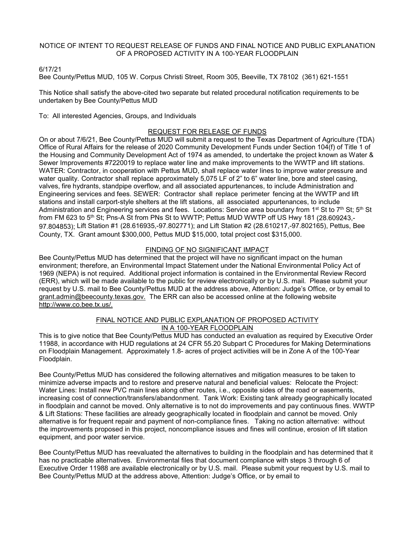### NOTICE OF INTENT TO REQUEST RELEASE OF FUNDS AND FINAL NOTICE AND PUBLIC EXPLANATION OF A PROPOSED ACTIVITY IN A 100-YEAR FLOODPLAIN

### 6/17/21

Bee County/Pettus MUD, 105 W. Corpus Christi Street, Room 305, Beeville, TX 78102 (361) 621-1551

This Notice shall satisfy the above-cited two separate but related procedural notification requirements to be undertaken by Bee County/Pettus MUD

To: All interested Agencies, Groups, and Individuals

# REQUEST FOR RELEASE OF FUNDS

On or about 7/6/21, Bee County/Pettus MUD will submit a request to the Texas Department of Agriculture (TDA) Office of Rural Affairs for the release of 2020 Community Development Funds under Section 104(f) of Title 1 of the Housing and Community Development Act of 1974 as amended, to undertake the project known as Water & Sewer Improvements #7220019 to replace water line and make improvements to the WWTP and lift stations. WATER: Contractor, in cooperation with Pettus MUD, shall replace water lines to improve water pressure and water quality. Contractor shall replace approximately 5,075 LF of 2" to 6" water line, bore and steel casing, valves, fire hydrants, standpipe overflow, and all associated appurtenances, to include Administration and Engineering services and fees. SEWER: Contractor shall replace perimeter fencing at the WWTP and lift stations and install carport-style shelters at the lift stations, all associated appurtenances, to include Administration and Engineering services and fees. Locations: Service area boundary from 1<sup>st</sup> St to 7<sup>th</sup> St;  $5<sup>th</sup>$  St from FM 623 to 5<sup>th</sup> St; Pns-A St from PNs St to WWTP; Pettus MUD WWTP off US Hwy 181 (28.609243.-97.804853); Lift Station #1 (28.616935,-97.802771); and Lift Station #2 (28.610217,-97.802165), Pettus, Bee County, TX. Grant amount \$300,000, Pettus MUD \$15,000, total project cost \$315,000.

## FINDING OF NO SIGNIFICANT IMPACT

Bee County/Pettus MUD has determined that the project will have no significant impact on the human environment; therefore, an Environmental Impact Statement under the National Environmental Policy Act of 1969 (NEPA) is not required. Additional project information is contained in the Environmental Review Record (ERR), which will be made available to the public for review electronically or by U.S. mail. Please submit your request by U.S. mail to Bee County/Pettus MUD at the address above, Attention: Judge's Office, or by email to grant.admin@beecounty.texas.gov. The ERR can also be accessed online at the following website http://www.co.bee.tx.us/.

#### FINAL NOTICE AND PUBLIC EXPLANATION OF PROPOSED ACTIVITY IN A 100-YEAR FLOODPLAIN

This is to give notice that Bee County/Pettus MUD has conducted an evaluation as required by Executive Order 11988, in accordance with HUD regulations at 24 CFR 55.20 Subpart C Procedures for Making Determinations on Floodplain Management. Approximately 1.8- acres of project activities will be in Zone A of the 100-Year Floodplain.

Bee County/Pettus MUD has considered the following alternatives and mitigation measures to be taken to minimize adverse impacts and to restore and preserve natural and beneficial values: Relocate the Project: Water Lines: Install new PVC main lines along other routes, i.e., opposite sides of the road or easements, increasing cost of connection/transfers/abandonment. Tank Work: Existing tank already geographically located in floodplain and cannot be moved. Only alternative is to not do improvements and pay continuous fines. WWTP & Lift Stations: These facilities are already geographically located in floodplain and cannot be moved. Only alternative is for frequent repair and payment of non-compliance fines. Taking no action alternative: without the improvements proposed in this project, noncompliance issues and fines will continue, erosion of lift station equipment, and poor water service.

Bee County/Pettus MUD has reevaluated the alternatives to building in the floodplain and has determined that it has no practicable alternatives. Environmental files that document compliance with steps 3 through 6 of Executive Order 11988 are available electronically or by U.S. mail. Please submit your request by U.S. mail to Bee County/Pettus MUD at the address above, Attention: Judge's Office, or by email to